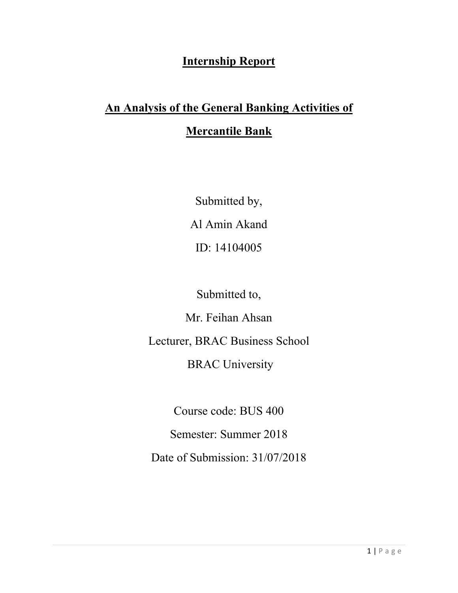# **Internship Report**

# **An Analysis of the General Banking Activities of Mercantile Bank**

Submitted by, Al Amin Akand ID: 14104005

Submitted to,

Mr. Feihan Ahsan

Lecturer, BRAC Business School

# BRAC University

Course code: BUS 400

Semester: Summer 2018

Date of Submission: 31/07/2018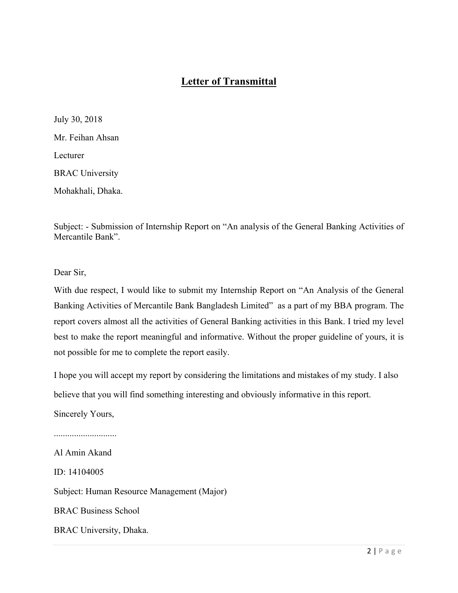## **Letter of Transmittal**

July 30, 2018 Mr. Feihan Ahsan Lecturer BRAC University Mohakhali, Dhaka.

Subject: - Submission of Internship Report on "An analysis of the General Banking Activities of Mercantile Bank".

Dear Sir,

With due respect, I would like to submit my Internship Report on "An Analysis of the General Banking Activities of Mercantile Bank Bangladesh Limited" as a part of my BBA program. The report covers almost all the activities of General Banking activities in this Bank. I tried my level best to make the report meaningful and informative. Without the proper guideline of yours, it is not possible for me to complete the report easily.

I hope you will accept my report by considering the limitations and mistakes of my study. I also believe that you will find something interesting and obviously informative in this report.

Sincerely Yours,

............................

Al Amin Akand ID: 14104005 Subject: Human Resource Management (Major) BRAC Business School BRAC University, Dhaka.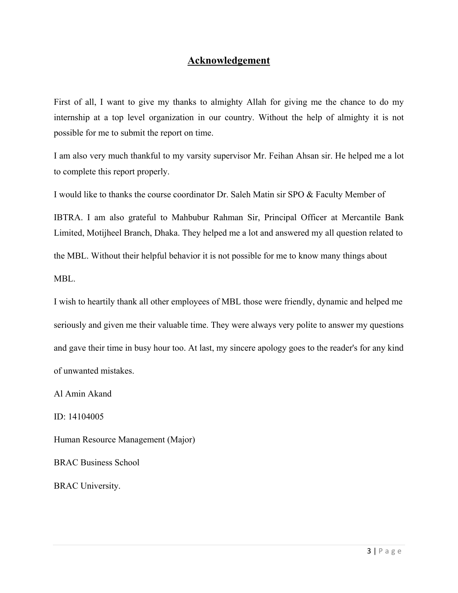### **Acknowledgement**

First of all, I want to give my thanks to almighty Allah for giving me the chance to do my internship at a top level organization in our country. Without the help of almighty it is not possible for me to submit the report on time.

I am also very much thankful to my varsity supervisor Mr. Feihan Ahsan sir. He helped me a lot to complete this report properly.

I would like to thanks the course coordinator Dr. Saleh Matin sir SPO & Faculty Member of

IBTRA. I am also grateful to Mahbubur Rahman Sir, Principal Officer at Mercantile Bank Limited, Motijheel Branch, Dhaka. They helped me a lot and answered my all question related to

the MBL. Without their helpful behavior it is not possible for me to know many things about

MBL.

I wish to heartily thank all other employees of MBL those were friendly, dynamic and helped me seriously and given me their valuable time. They were always very polite to answer my questions and gave their time in busy hour too. At last, my sincere apology goes to the reader's for any kind of unwanted mistakes.

Al Amin Akand

ID: 14104005

Human Resource Management (Major)

BRAC Business School

BRAC University.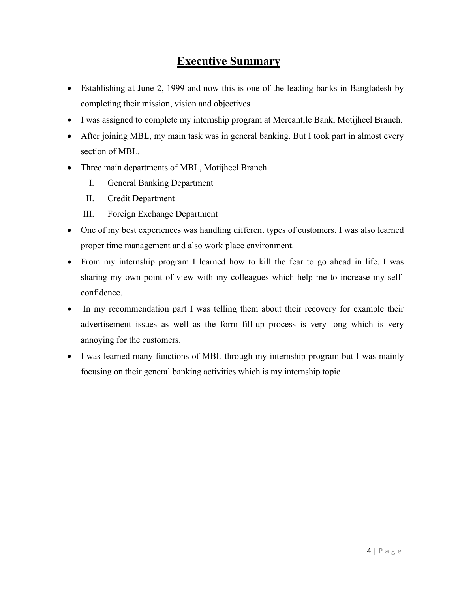# **Executive Summary**

- Establishing at June 2, 1999 and now this is one of the leading banks in Bangladesh by completing their mission, vision and objectives
- I was assigned to complete my internship program at Mercantile Bank, Motijheel Branch.
- After joining MBL, my main task was in general banking. But I took part in almost every section of MBL.
- Three main departments of MBL, Motijheel Branch
	- I. General Banking Department
	- II. Credit Department
	- III. Foreign Exchange Department
- One of my best experiences was handling different types of customers. I was also learned proper time management and also work place environment.
- From my internship program I learned how to kill the fear to go ahead in life. I was sharing my own point of view with my colleagues which help me to increase my selfconfidence.
- In my recommendation part I was telling them about their recovery for example their advertisement issues as well as the form fill-up process is very long which is very annoying for the customers.
- I was learned many functions of MBL through my internship program but I was mainly focusing on their general banking activities which is my internship topic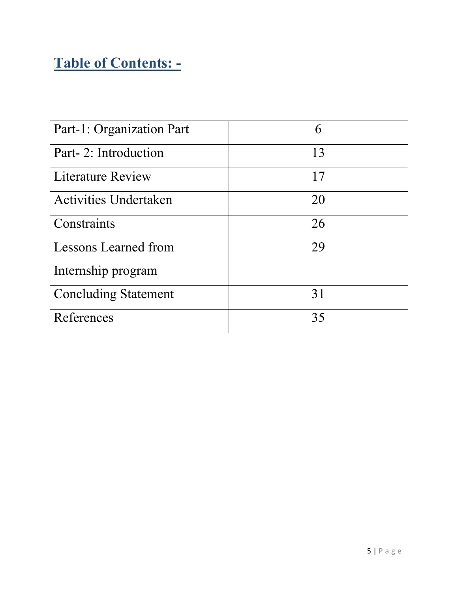# **Table of Contents: -**

| Part-1: Organization Part    | 6  |
|------------------------------|----|
| Part-2: Introduction         | 13 |
| <b>Literature Review</b>     | 17 |
| <b>Activities Undertaken</b> | 20 |
| Constraints                  | 26 |
| Lessons Learned from         | 29 |
| Internship program           |    |
| <b>Concluding Statement</b>  | 31 |
| References                   | 35 |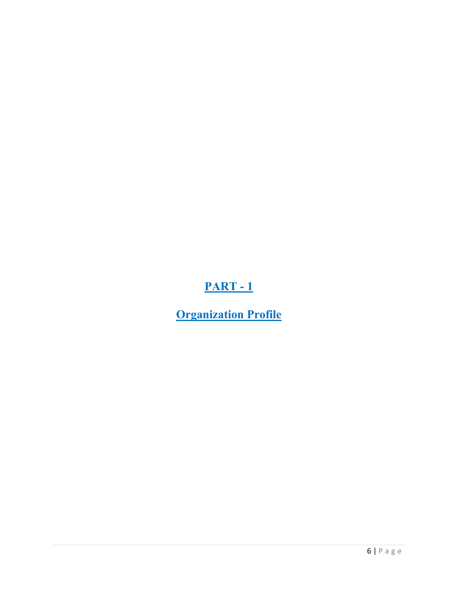# **PART - 1**

**Organization Profile**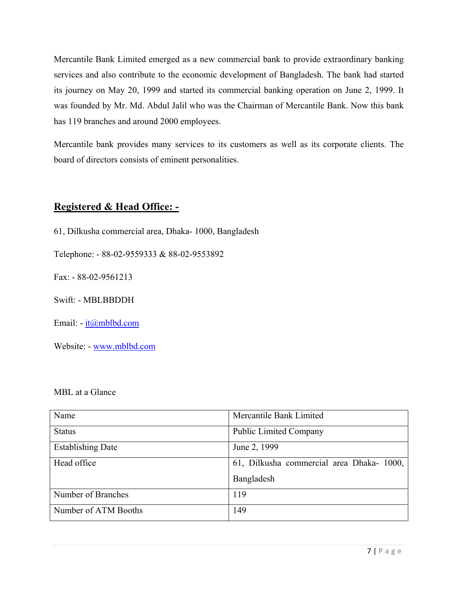Mercantile Bank Limited emerged as a new commercial bank to provide extraordinary banking services and also contribute to the economic development of Bangladesh. The bank had started its journey on May 20, 1999 and started its commercial banking operation on June 2, 1999. It was founded by Mr. Md. Abdul Jalil who was the Chairman of Mercantile Bank. Now this bank has 119 branches and around 2000 employees.

Mercantile bank provides many services to its customers as well as its corporate clients. The board of directors consists of eminent personalities.

### **Registered & Head Office: -**

61, Dilkusha commercial area, Dhaka- 1000, Bangladesh

Telephone: - 88-02-9559333 & 88-02-9553892

Fax: - 88-02-9561213

Swift: - MBLBBDDH

Email: - it@mblbd.com

Website: - www.mblbd.com

### MBL at a Glance

| Name                     | Mercantile Bank Limited                   |
|--------------------------|-------------------------------------------|
| <b>Status</b>            | <b>Public Limited Company</b>             |
| <b>Establishing Date</b> | June 2, 1999                              |
| Head office              | 61, Dilkusha commercial area Dhaka- 1000, |
|                          | Bangladesh                                |
| Number of Branches       | 119                                       |
| Number of ATM Booths     | 149                                       |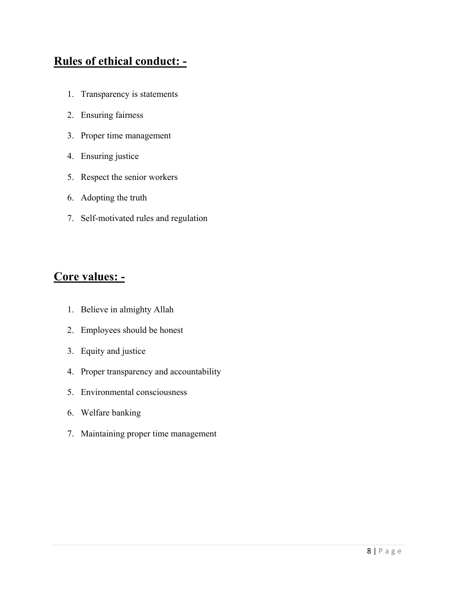# **Rules of ethical conduct: -**

- 1. Transparency is statements
- 2. Ensuring fairness
- 3. Proper time management
- 4. Ensuring justice
- 5. Respect the senior workers
- 6. Adopting the truth
- 7. Self-motivated rules and regulation

## **Core values: -**

- 1. Believe in almighty Allah
- 2. Employees should be honest
- 3. Equity and justice
- 4. Proper transparency and accountability
- 5. Environmental consciousness
- 6. Welfare banking
- 7. Maintaining proper time management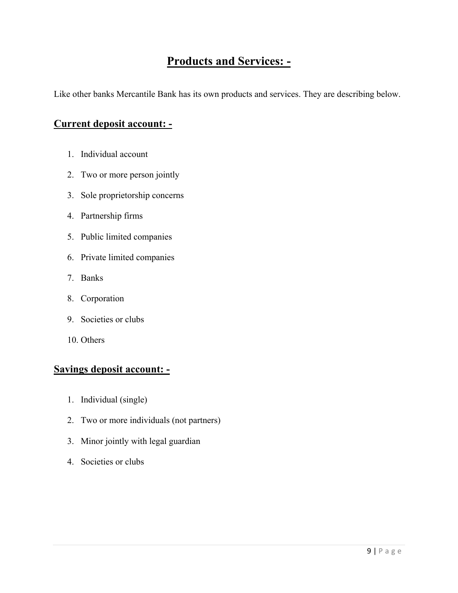## **Products and Services: -**

Like other banks Mercantile Bank has its own products and services. They are describing below.

## **Current deposit account: -**

- 1. Individual account
- 2. Two or more person jointly
- 3. Sole proprietorship concerns
- 4. Partnership firms
- 5. Public limited companies
- 6. Private limited companies
- 7. Banks
- 8. Corporation
- 9. Societies or clubs
- 10. Others

## **Savings deposit account: -**

- 1. Individual (single)
- 2. Two or more individuals (not partners)
- 3. Minor jointly with legal guardian
- 4. Societies or clubs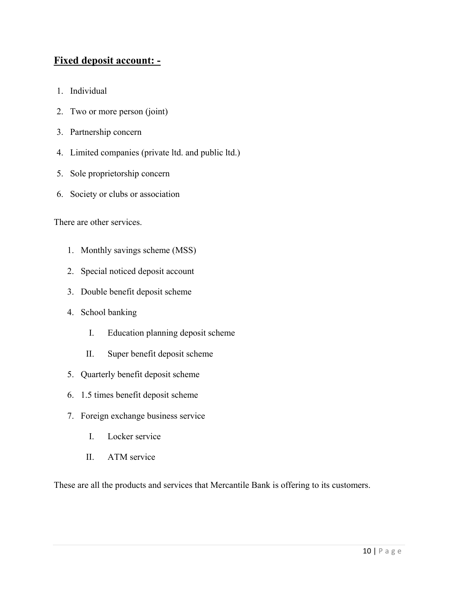## **Fixed deposit account: -**

- 1. Individual
- 2. Two or more person (joint)
- 3. Partnership concern
- 4. Limited companies (private ltd. and public ltd.)
- 5. Sole proprietorship concern
- 6. Society or clubs or association

There are other services.

- 1. Monthly savings scheme (MSS)
- 2. Special noticed deposit account
- 3. Double benefit deposit scheme
- 4. School banking
	- I. Education planning deposit scheme
	- II. Super benefit deposit scheme
- 5. Quarterly benefit deposit scheme
- 6. 1.5 times benefit deposit scheme
- 7. Foreign exchange business service
	- I. Locker service
	- II. ATM service

These are all the products and services that Mercantile Bank is offering to its customers.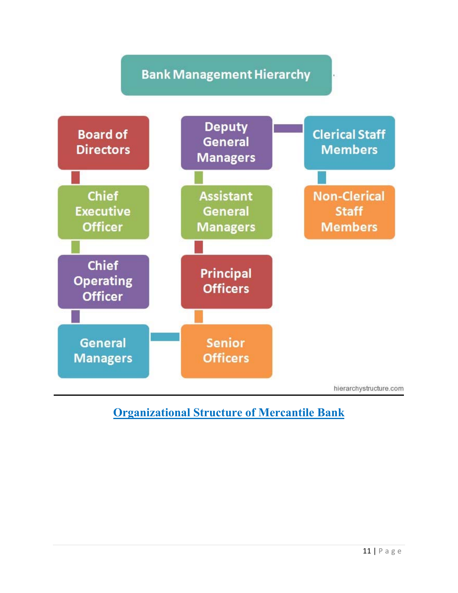# **Bank Management Hierarchy**



# **Organizational Structure of Mercantile Bank**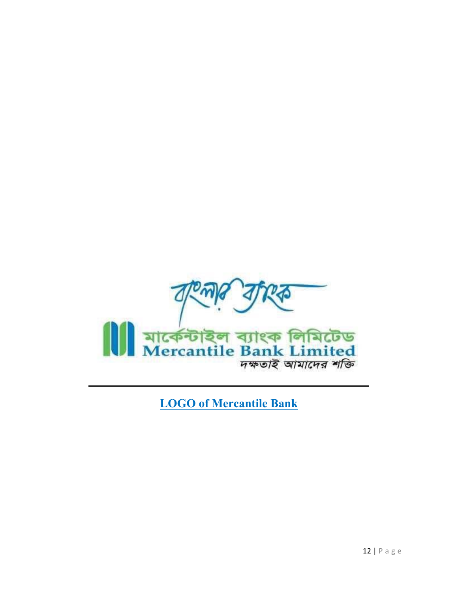

**LOGO of Mercantile Bank**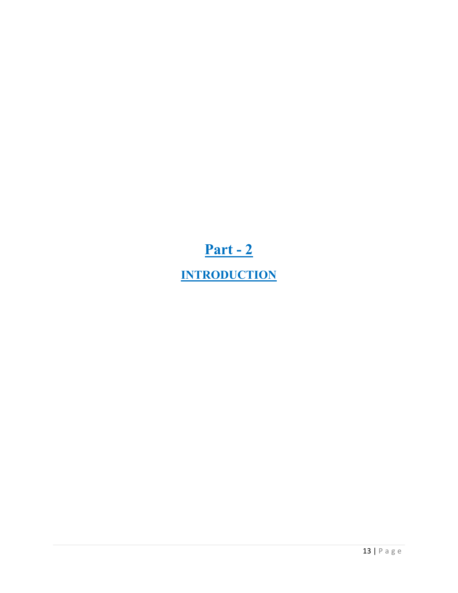# **Part - 2 INTRODUCTION**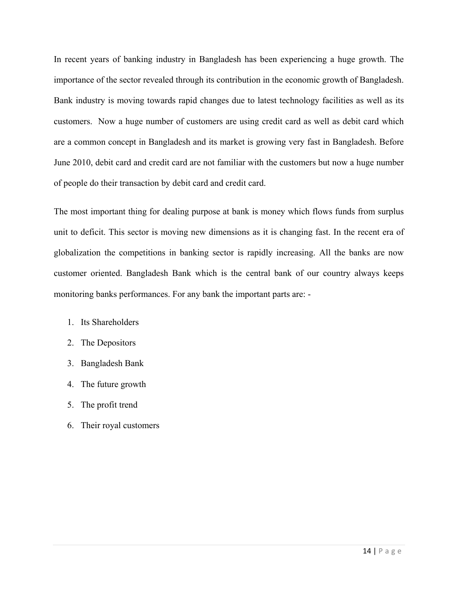In recent years of banking industry in Bangladesh has been experiencing a huge growth. The importance of the sector revealed through its contribution in the economic growth of Bangladesh. Bank industry is moving towards rapid changes due to latest technology facilities as well as its customers. Now a huge number of customers are using credit card as well as debit card which are a common concept in Bangladesh and its market is growing very fast in Bangladesh. Before June 2010, debit card and credit card are not familiar with the customers but now a huge number of people do their transaction by debit card and credit card.

The most important thing for dealing purpose at bank is money which flows funds from surplus unit to deficit. This sector is moving new dimensions as it is changing fast. In the recent era of globalization the competitions in banking sector is rapidly increasing. All the banks are now customer oriented. Bangladesh Bank which is the central bank of our country always keeps monitoring banks performances. For any bank the important parts are: -

- 1. Its Shareholders
- 2. The Depositors
- 3. Bangladesh Bank
- 4. The future growth
- 5. The profit trend
- 6. Their royal customers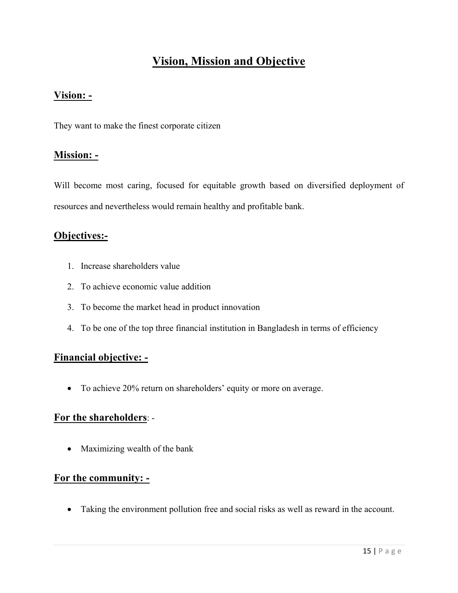# **Vision, Mission and Objective**

### **Vision: -**

They want to make the finest corporate citizen

### **Mission: -**

Will become most caring, focused for equitable growth based on diversified deployment of resources and nevertheless would remain healthy and profitable bank.

## **Objectives:-**

- 1. Increase shareholders value
- 2. To achieve economic value addition
- 3. To become the market head in product innovation
- 4. To be one of the top three financial institution in Bangladesh in terms of efficiency

## **Financial objective: -**

To achieve 20% return on shareholders' equity or more on average.

### **For the shareholders**: -

• Maximizing wealth of the bank

### **For the community: -**

Taking the environment pollution free and social risks as well as reward in the account.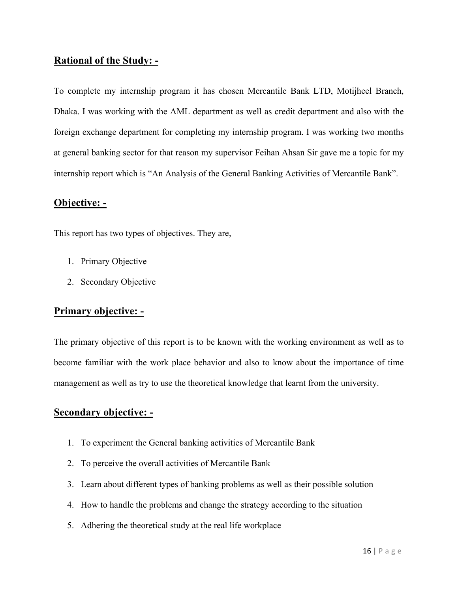### **Rational of the Study: -**

To complete my internship program it has chosen Mercantile Bank LTD, Motijheel Branch, Dhaka. I was working with the AML department as well as credit department and also with the foreign exchange department for completing my internship program. I was working two months at general banking sector for that reason my supervisor Feihan Ahsan Sir gave me a topic for my internship report which is "An Analysis of the General Banking Activities of Mercantile Bank".

## **Objective: -**

This report has two types of objectives. They are,

- 1. Primary Objective
- 2. Secondary Objective

## **Primary objective: -**

The primary objective of this report is to be known with the working environment as well as to become familiar with the work place behavior and also to know about the importance of time management as well as try to use the theoretical knowledge that learnt from the university.

### **Secondary objective: -**

- 1. To experiment the General banking activities of Mercantile Bank
- 2. To perceive the overall activities of Mercantile Bank
- 3. Learn about different types of banking problems as well as their possible solution
- 4. How to handle the problems and change the strategy according to the situation
- 5. Adhering the theoretical study at the real life workplace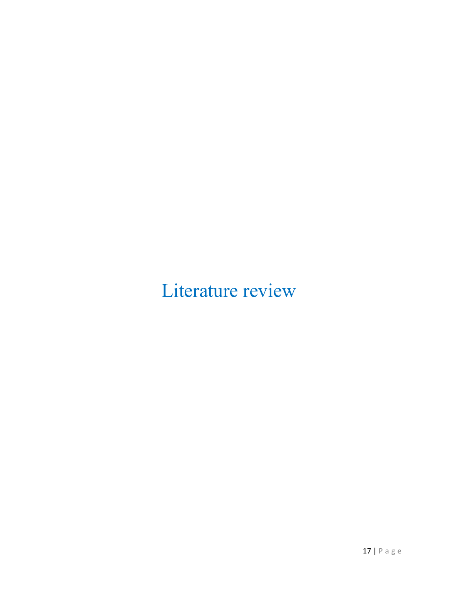Literature review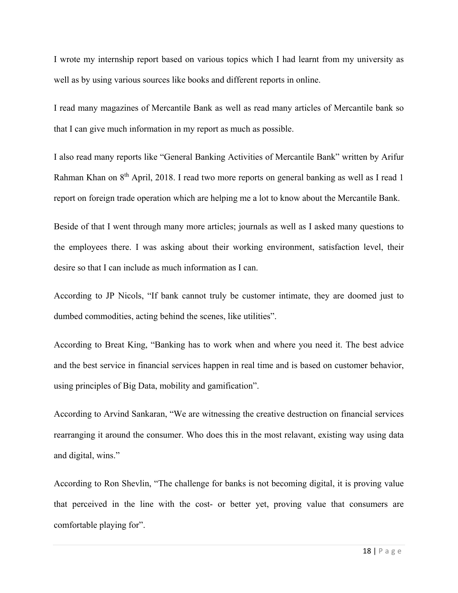I wrote my internship report based on various topics which I had learnt from my university as well as by using various sources like books and different reports in online.

I read many magazines of Mercantile Bank as well as read many articles of Mercantile bank so that I can give much information in my report as much as possible.

I also read many reports like "General Banking Activities of Mercantile Bank" written by Arifur Rahman Khan on 8<sup>th</sup> April, 2018. I read two more reports on general banking as well as I read 1 report on foreign trade operation which are helping me a lot to know about the Mercantile Bank.

Beside of that I went through many more articles; journals as well as I asked many questions to the employees there. I was asking about their working environment, satisfaction level, their desire so that I can include as much information as I can.

According to JP Nicols, "If bank cannot truly be customer intimate, they are doomed just to dumbed commodities, acting behind the scenes, like utilities".

According to Breat King, "Banking has to work when and where you need it. The best advice and the best service in financial services happen in real time and is based on customer behavior, using principles of Big Data, mobility and gamification".

According to Arvind Sankaran, "We are witnessing the creative destruction on financial services rearranging it around the consumer. Who does this in the most relavant, existing way using data and digital, wins."

According to Ron Shevlin, "The challenge for banks is not becoming digital, it is proving value that perceived in the line with the cost- or better yet, proving value that consumers are comfortable playing for".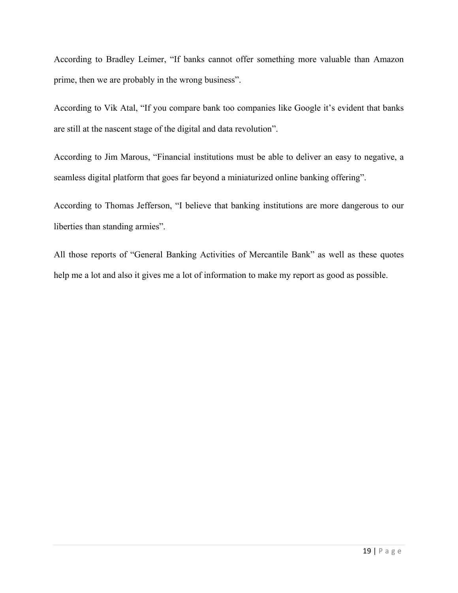According to Bradley Leimer, "If banks cannot offer something more valuable than Amazon prime, then we are probably in the wrong business".

According to Vik Atal, "If you compare bank too companies like Google it's evident that banks are still at the nascent stage of the digital and data revolution".

According to Jim Marous, "Financial institutions must be able to deliver an easy to negative, a seamless digital platform that goes far beyond a miniaturized online banking offering".

According to Thomas Jefferson, "I believe that banking institutions are more dangerous to our liberties than standing armies".

All those reports of "General Banking Activities of Mercantile Bank" as well as these quotes help me a lot and also it gives me a lot of information to make my report as good as possible.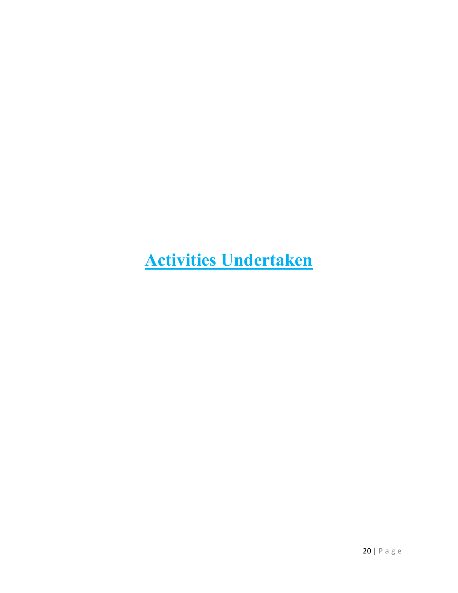# **Activities Undertaken**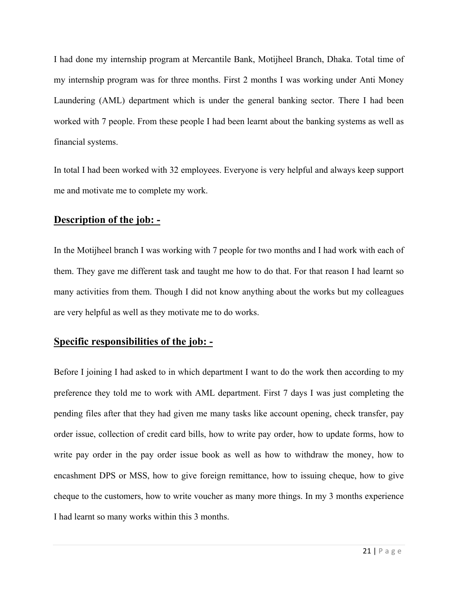I had done my internship program at Mercantile Bank, Motijheel Branch, Dhaka. Total time of my internship program was for three months. First 2 months I was working under Anti Money Laundering (AML) department which is under the general banking sector. There I had been worked with 7 people. From these people I had been learnt about the banking systems as well as financial systems.

In total I had been worked with 32 employees. Everyone is very helpful and always keep support me and motivate me to complete my work.

### **Description of the job: -**

In the Motijheel branch I was working with 7 people for two months and I had work with each of them. They gave me different task and taught me how to do that. For that reason I had learnt so many activities from them. Though I did not know anything about the works but my colleagues are very helpful as well as they motivate me to do works.

### **Specific responsibilities of the job: -**

Before I joining I had asked to in which department I want to do the work then according to my preference they told me to work with AML department. First 7 days I was just completing the pending files after that they had given me many tasks like account opening, check transfer, pay order issue, collection of credit card bills, how to write pay order, how to update forms, how to write pay order in the pay order issue book as well as how to withdraw the money, how to encashment DPS or MSS, how to give foreign remittance, how to issuing cheque, how to give cheque to the customers, how to write voucher as many more things. In my 3 months experience I had learnt so many works within this 3 months.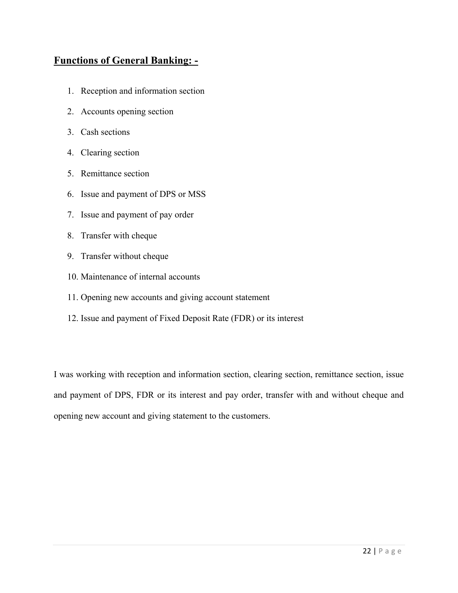## **Functions of General Banking: -**

- 1. Reception and information section
- 2. Accounts opening section
- 3. Cash sections
- 4. Clearing section
- 5. Remittance section
- 6. Issue and payment of DPS or MSS
- 7. Issue and payment of pay order
- 8. Transfer with cheque
- 9. Transfer without cheque
- 10. Maintenance of internal accounts
- 11. Opening new accounts and giving account statement
- 12. Issue and payment of Fixed Deposit Rate (FDR) or its interest

I was working with reception and information section, clearing section, remittance section, issue and payment of DPS, FDR or its interest and pay order, transfer with and without cheque and opening new account and giving statement to the customers.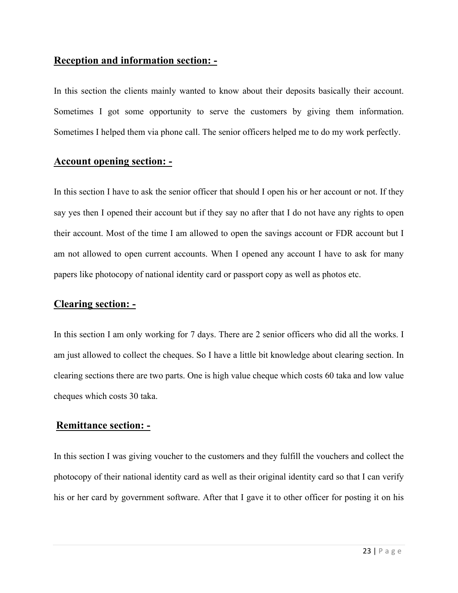## **Reception and information section: -**

In this section the clients mainly wanted to know about their deposits basically their account. Sometimes I got some opportunity to serve the customers by giving them information. Sometimes I helped them via phone call. The senior officers helped me to do my work perfectly.

### **Account opening section: -**

In this section I have to ask the senior officer that should I open his or her account or not. If they say yes then I opened their account but if they say no after that I do not have any rights to open their account. Most of the time I am allowed to open the savings account or FDR account but I am not allowed to open current accounts. When I opened any account I have to ask for many papers like photocopy of national identity card or passport copy as well as photos etc.

### **Clearing section: -**

In this section I am only working for 7 days. There are 2 senior officers who did all the works. I am just allowed to collect the cheques. So I have a little bit knowledge about clearing section. In clearing sections there are two parts. One is high value cheque which costs 60 taka and low value cheques which costs 30 taka.

### **Remittance section: -**

In this section I was giving voucher to the customers and they fulfill the vouchers and collect the photocopy of their national identity card as well as their original identity card so that I can verify his or her card by government software. After that I gave it to other officer for posting it on his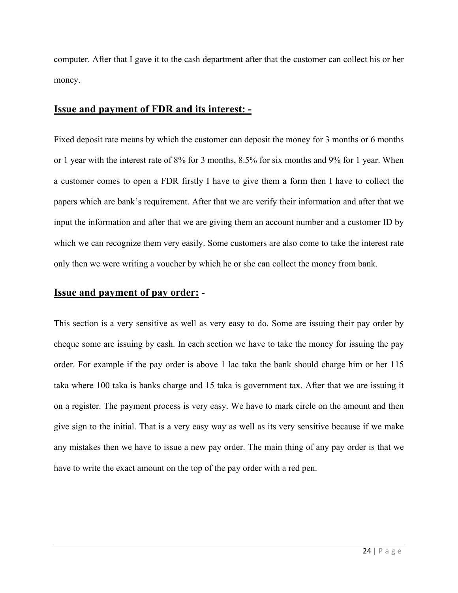computer. After that I gave it to the cash department after that the customer can collect his or her money.

## **Issue and payment of FDR and its interest: -**

Fixed deposit rate means by which the customer can deposit the money for 3 months or 6 months or 1 year with the interest rate of 8% for 3 months, 8.5% for six months and 9% for 1 year. When a customer comes to open a FDR firstly I have to give them a form then I have to collect the papers which are bank's requirement. After that we are verify their information and after that we input the information and after that we are giving them an account number and a customer ID by which we can recognize them very easily. Some customers are also come to take the interest rate only then we were writing a voucher by which he or she can collect the money from bank.

### **Issue and payment of pay order:** -

This section is a very sensitive as well as very easy to do. Some are issuing their pay order by cheque some are issuing by cash. In each section we have to take the money for issuing the pay order. For example if the pay order is above 1 lac taka the bank should charge him or her 115 taka where 100 taka is banks charge and 15 taka is government tax. After that we are issuing it on a register. The payment process is very easy. We have to mark circle on the amount and then give sign to the initial. That is a very easy way as well as its very sensitive because if we make any mistakes then we have to issue a new pay order. The main thing of any pay order is that we have to write the exact amount on the top of the pay order with a red pen.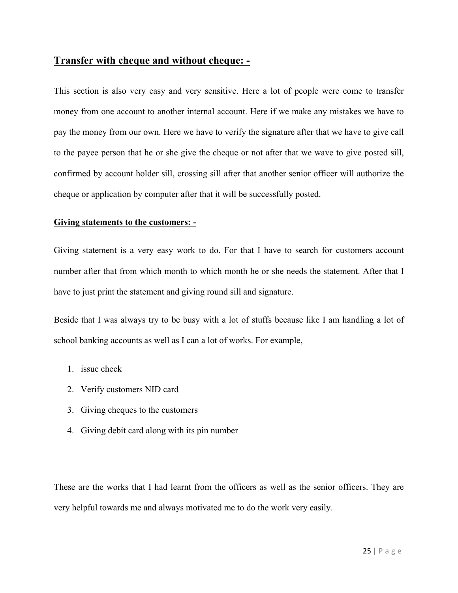### **Transfer with cheque and without cheque: -**

This section is also very easy and very sensitive. Here a lot of people were come to transfer money from one account to another internal account. Here if we make any mistakes we have to pay the money from our own. Here we have to verify the signature after that we have to give call to the payee person that he or she give the cheque or not after that we wave to give posted sill, confirmed by account holder sill, crossing sill after that another senior officer will authorize the cheque or application by computer after that it will be successfully posted.

### **Giving statements to the customers: -**

Giving statement is a very easy work to do. For that I have to search for customers account number after that from which month to which month he or she needs the statement. After that I have to just print the statement and giving round sill and signature.

Beside that I was always try to be busy with a lot of stuffs because like I am handling a lot of school banking accounts as well as I can a lot of works. For example,

- 1. issue check
- 2. Verify customers NID card
- 3. Giving cheques to the customers
- 4. Giving debit card along with its pin number

These are the works that I had learnt from the officers as well as the senior officers. They are very helpful towards me and always motivated me to do the work very easily.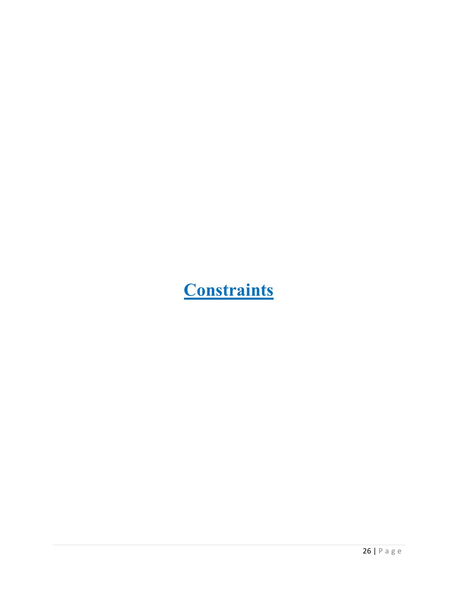# **Constraints**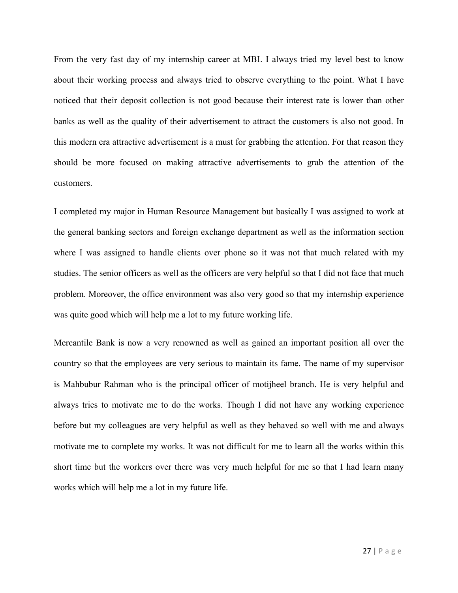From the very fast day of my internship career at MBL I always tried my level best to know about their working process and always tried to observe everything to the point. What I have noticed that their deposit collection is not good because their interest rate is lower than other banks as well as the quality of their advertisement to attract the customers is also not good. In this modern era attractive advertisement is a must for grabbing the attention. For that reason they should be more focused on making attractive advertisements to grab the attention of the customers.

I completed my major in Human Resource Management but basically I was assigned to work at the general banking sectors and foreign exchange department as well as the information section where I was assigned to handle clients over phone so it was not that much related with my studies. The senior officers as well as the officers are very helpful so that I did not face that much problem. Moreover, the office environment was also very good so that my internship experience was quite good which will help me a lot to my future working life.

Mercantile Bank is now a very renowned as well as gained an important position all over the country so that the employees are very serious to maintain its fame. The name of my supervisor is Mahbubur Rahman who is the principal officer of motijheel branch. He is very helpful and always tries to motivate me to do the works. Though I did not have any working experience before but my colleagues are very helpful as well as they behaved so well with me and always motivate me to complete my works. It was not difficult for me to learn all the works within this short time but the workers over there was very much helpful for me so that I had learn many works which will help me a lot in my future life.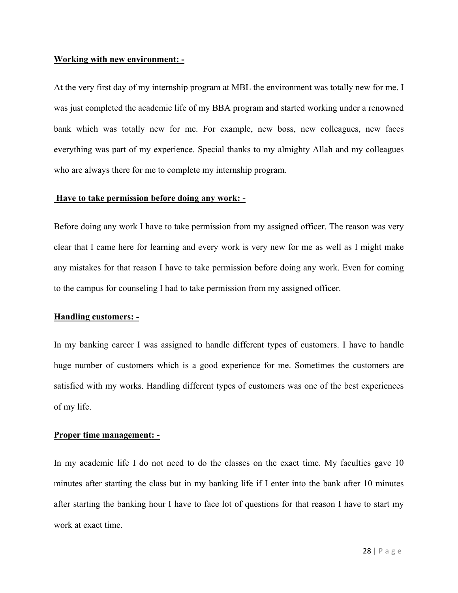#### **Working with new environment: -**

At the very first day of my internship program at MBL the environment was totally new for me. I was just completed the academic life of my BBA program and started working under a renowned bank which was totally new for me. For example, new boss, new colleagues, new faces everything was part of my experience. Special thanks to my almighty Allah and my colleagues who are always there for me to complete my internship program.

### **Have to take permission before doing any work: -**

Before doing any work I have to take permission from my assigned officer. The reason was very clear that I came here for learning and every work is very new for me as well as I might make any mistakes for that reason I have to take permission before doing any work. Even for coming to the campus for counseling I had to take permission from my assigned officer.

### **Handling customers: -**

In my banking career I was assigned to handle different types of customers. I have to handle huge number of customers which is a good experience for me. Sometimes the customers are satisfied with my works. Handling different types of customers was one of the best experiences of my life.

### **Proper time management: -**

In my academic life I do not need to do the classes on the exact time. My faculties gave 10 minutes after starting the class but in my banking life if I enter into the bank after 10 minutes after starting the banking hour I have to face lot of questions for that reason I have to start my work at exact time.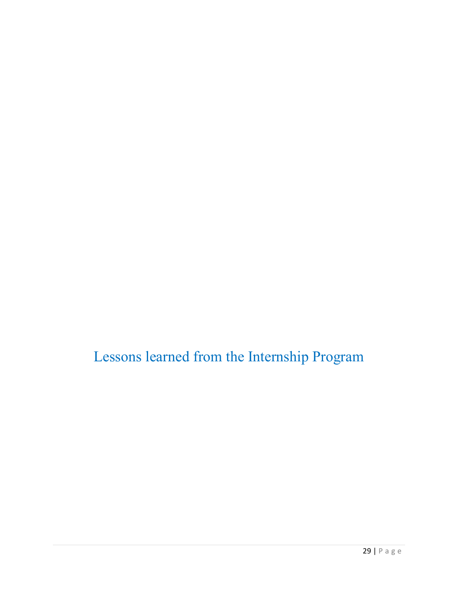Lessons learned from the Internship Program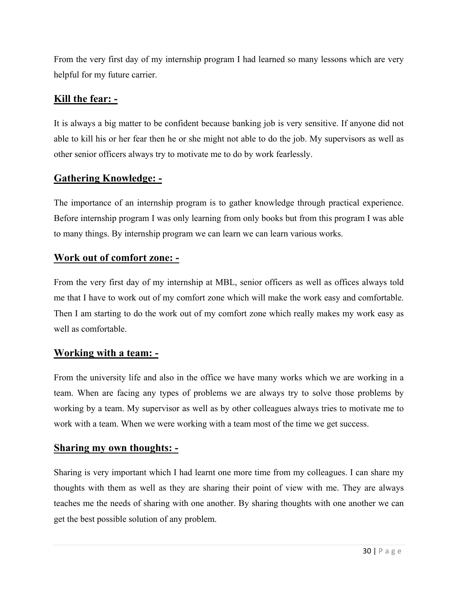From the very first day of my internship program I had learned so many lessons which are very helpful for my future carrier.

### **Kill the fear: -**

It is always a big matter to be confident because banking job is very sensitive. If anyone did not able to kill his or her fear then he or she might not able to do the job. My supervisors as well as other senior officers always try to motivate me to do by work fearlessly.

## **Gathering Knowledge: -**

The importance of an internship program is to gather knowledge through practical experience. Before internship program I was only learning from only books but from this program I was able to many things. By internship program we can learn we can learn various works.

### **Work out of comfort zone: -**

From the very first day of my internship at MBL, senior officers as well as offices always told me that I have to work out of my comfort zone which will make the work easy and comfortable. Then I am starting to do the work out of my comfort zone which really makes my work easy as well as comfortable.

## **Working with a team: -**

From the university life and also in the office we have many works which we are working in a team. When are facing any types of problems we are always try to solve those problems by working by a team. My supervisor as well as by other colleagues always tries to motivate me to work with a team. When we were working with a team most of the time we get success.

### **Sharing my own thoughts: -**

Sharing is very important which I had learnt one more time from my colleagues. I can share my thoughts with them as well as they are sharing their point of view with me. They are always teaches me the needs of sharing with one another. By sharing thoughts with one another we can get the best possible solution of any problem.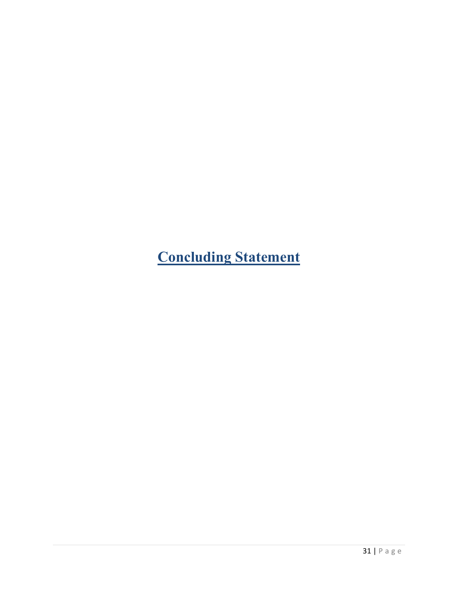**Concluding Statement**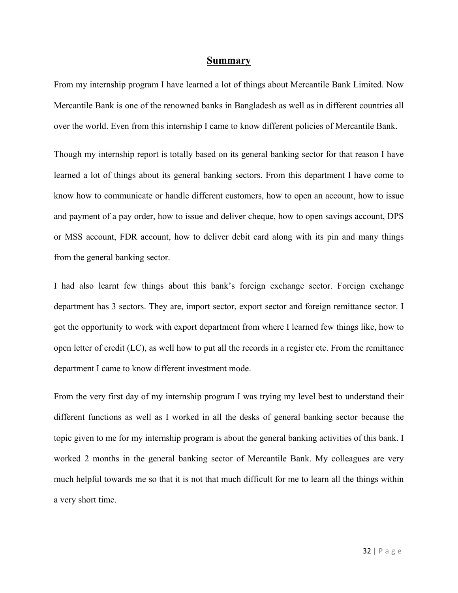#### **Summary**

From my internship program I have learned a lot of things about Mercantile Bank Limited. Now Mercantile Bank is one of the renowned banks in Bangladesh as well as in different countries all over the world. Even from this internship I came to know different policies of Mercantile Bank.

Though my internship report is totally based on its general banking sector for that reason I have learned a lot of things about its general banking sectors. From this department I have come to know how to communicate or handle different customers, how to open an account, how to issue and payment of a pay order, how to issue and deliver cheque, how to open savings account, DPS or MSS account, FDR account, how to deliver debit card along with its pin and many things from the general banking sector.

I had also learnt few things about this bank's foreign exchange sector. Foreign exchange department has 3 sectors. They are, import sector, export sector and foreign remittance sector. I got the opportunity to work with export department from where I learned few things like, how to open letter of credit (LC), as well how to put all the records in a register etc. From the remittance department I came to know different investment mode.

From the very first day of my internship program I was trying my level best to understand their different functions as well as I worked in all the desks of general banking sector because the topic given to me for my internship program is about the general banking activities of this bank. I worked 2 months in the general banking sector of Mercantile Bank. My colleagues are very much helpful towards me so that it is not that much difficult for me to learn all the things within a very short time.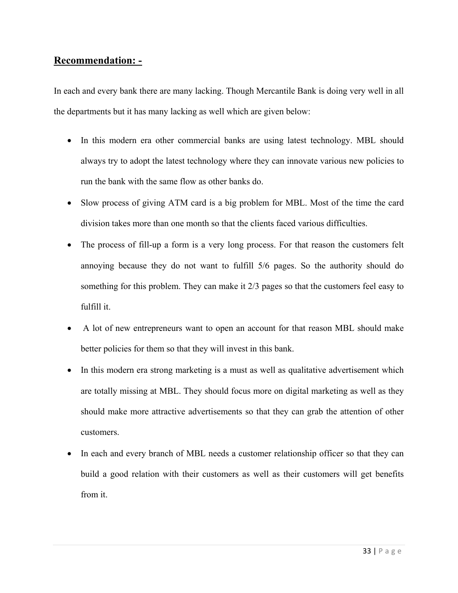### **Recommendation: -**

In each and every bank there are many lacking. Though Mercantile Bank is doing very well in all the departments but it has many lacking as well which are given below:

- In this modern era other commercial banks are using latest technology. MBL should always try to adopt the latest technology where they can innovate various new policies to run the bank with the same flow as other banks do.
- Slow process of giving ATM card is a big problem for MBL. Most of the time the card division takes more than one month so that the clients faced various difficulties.
- The process of fill-up a form is a very long process. For that reason the customers felt annoying because they do not want to fulfill 5/6 pages. So the authority should do something for this problem. They can make it 2/3 pages so that the customers feel easy to fulfill it.
- A lot of new entrepreneurs want to open an account for that reason MBL should make better policies for them so that they will invest in this bank.
- In this modern era strong marketing is a must as well as qualitative advertisement which are totally missing at MBL. They should focus more on digital marketing as well as they should make more attractive advertisements so that they can grab the attention of other customers.
- In each and every branch of MBL needs a customer relationship officer so that they can build a good relation with their customers as well as their customers will get benefits from it.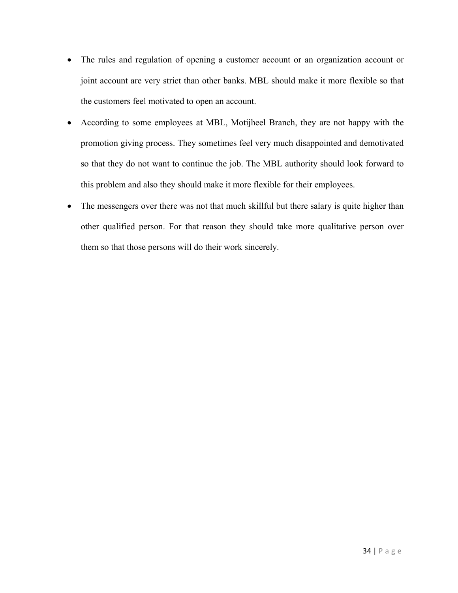- The rules and regulation of opening a customer account or an organization account or joint account are very strict than other banks. MBL should make it more flexible so that the customers feel motivated to open an account.
- According to some employees at MBL, Motijheel Branch, they are not happy with the promotion giving process. They sometimes feel very much disappointed and demotivated so that they do not want to continue the job. The MBL authority should look forward to this problem and also they should make it more flexible for their employees.
- The messengers over there was not that much skillful but there salary is quite higher than other qualified person. For that reason they should take more qualitative person over them so that those persons will do their work sincerely.